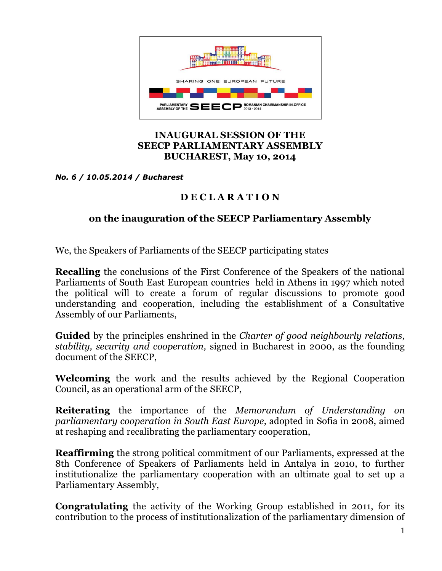

## **INAUGURAL SESSION OF THE SEECP PARLIAMENTARY ASSEMBLY BUCHAREST, May 10, 2014**

*No. 6 / 10.05.2014 / Bucharest*

## **D E C L A R A T I O N**

## **on the inauguration of the SEECP Parliamentary Assembly**

We, the Speakers of Parliaments of the SEECP participating states

**Recalling** the conclusions of the First Conference of the Speakers of the national Parliaments of South East European countries held in Athens in 1997 which noted the political will to create a forum of regular discussions to promote good understanding and cooperation, including the establishment of a Consultative Assembly of our Parliaments,

**Guided** by the principles enshrined in the *Charter of good neighbourly relations, stability, security and cooperation,* signed in Bucharest in 2000, as the founding document of the SEECP,

**Welcoming** the work and the results achieved by the Regional Cooperation Council, as an operational arm of the SEECP,

**Reiterating** the importance of the *Memorandum of Understanding on parliamentary cooperation in South East Europe*, adopted in Sofia in 2008, aimed at reshaping and recalibrating the parliamentary cooperation,

**Reaffirming** the strong political commitment of our Parliaments, expressed at the 8th Conference of Speakers of Parliaments held in Antalya in 2010, to further institutionalize the parliamentary cooperation with an ultimate goal to set up a Parliamentary Assembly,

**Congratulating** the activity of the Working Group established in 2011, for its contribution to the process of institutionalization of the parliamentary dimension of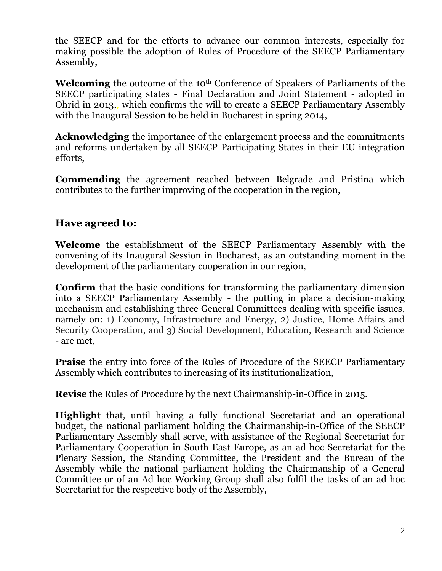the SEECP and for the efforts to advance our common interests, especially for making possible the adoption of Rules of Procedure of the SEECP Parliamentary Assembly,

Welcoming the outcome of the 10<sup>th</sup> Conference of Speakers of Parliaments of the SEECP participating states - Final Declaration and Joint Statement - adopted in Ohrid in 2013,, which confirms the will to create a SEECP Parliamentary Assembly with the Inaugural Session to be held in Bucharest in spring 2014,

**Acknowledging** the importance of the enlargement process and the commitments and reforms undertaken by all SEECP Participating States in their EU integration efforts,

**Commending** the agreement reached between Belgrade and Pristina which contributes to the further improving of the cooperation in the region,

## **Have agreed to:**

**Welcome** the establishment of the SEECP Parliamentary Assembly with the convening of its Inaugural Session in Bucharest, as an outstanding moment in the development of the parliamentary cooperation in our region,

**Confirm** that the basic conditions for transforming the parliamentary dimension into a SEECP Parliamentary Assembly - the putting in place a decision-making mechanism and establishing three General Committees dealing with specific issues, namely on: 1) Economy, Infrastructure and Energy, 2) Justice, Home Affairs and Security Cooperation, and 3) Social Development, Education, Research and Science - are met,

**Praise** the entry into force of the Rules of Procedure of the SEECP Parliamentary Assembly which contributes to increasing of its institutionalization,

**Revise** the Rules of Procedure by the next Chairmanship-in-Office in 2015.

**Highlight** that, until having a fully functional Secretariat and an operational budget, the national parliament holding the Chairmanship-in-Office of the SEECP Parliamentary Assembly shall serve, with assistance of the Regional Secretariat for Parliamentary Cooperation in South East Europe, as an ad hoc Secretariat for the Plenary Session, the Standing Committee, the President and the Bureau of the Assembly while the national parliament holding the Chairmanship of a General Committee or of an Ad hoc Working Group shall also fulfil the tasks of an ad hoc Secretariat for the respective body of the Assembly,